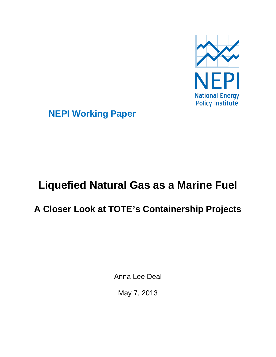

**NEPI Working Paper**

# **Liquefied Natural Gas as a Marine Fuel**

## **A Closer Look at TOTE's Containership Projects**

Anna Lee Deal

May 7, 2013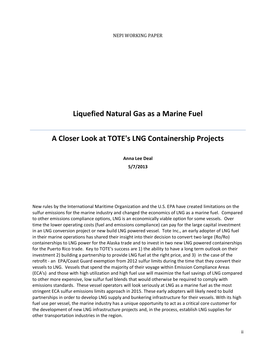NEPI WORKING PAPER

### **Liquefied Natural Gas as a Marine Fuel**

### **A Closer Look at TOTE's LNG Containership Projects**

**Anna Lee Deal 5/7/2013**

New rules by the International Maritime Organization and the U.S. EPA have created limitations on the sulfur emissions for the marine industry and changed the economics of LNG as a marine fuel. Compared to other emissions compliance options, LNG is an economically viable option for some vessels. Over time the lower operating costs (fuel and emissions compliance) can pay for the large capital investment in an LNG conversion project or new build LNG powered vessel. Tote Inc., an early adopter of LNG fuel in their marine operations has shared their insight into their decision to convert two large (Ro/Ro) containerships to LNG power for the Alaska trade and to invest in two new LNG powered containerships for the Puerto Rico trade. Key to TOTE's success are 1) the ability to have a long term outlook on their investment 2) building a partnership to provide LNG fuel at the right price, and 3) in the case of the retrofit - an EPA/Coast Guard exemption from 2012 sulfur limits during the time that they convert their vessels to LNG. Vessels that spend the majority of their voyage within Emission Compliance Areas (ECA's) and those with high utilization and high fuel use will maximize the fuel savings of LNG compared to other more expensive, low sulfur fuel blends that would otherwise be required to comply with emissions standards. These vessel operators will look seriously at LNG as a marine fuel as the most stringent ECA sulfur emissions limits approach in 2015. These early adopters will likely need to build partnerships in order to develop LNG supply and bunkering infrastructure for their vessels. With its high fuel use per vessel, the marine industry has a unique opportunity to act as a critical core customer for the development of new LNG infrastructure projects and, in the process, establish LNG supplies for other transportation industries in the region.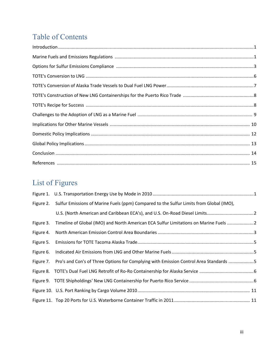### Table of Contents

## List of Figures

|           | Figure 2. Sulfur Emissions of Marine Fuels (ppm) Compared to the Sulfur Limits from Global (IMO), |  |
|-----------|---------------------------------------------------------------------------------------------------|--|
|           |                                                                                                   |  |
| Figure 3. | Timeline of Global (IMO) and North American ECA Sulfur Limitations on Marine Fuels 2              |  |
| Figure 4. |                                                                                                   |  |
| Figure 5. |                                                                                                   |  |
| Figure 6. |                                                                                                   |  |
| Figure 7. | Pro's and Con's of Three Options for Complying with Emission Control Area Standards 5             |  |
|           |                                                                                                   |  |
|           |                                                                                                   |  |
|           |                                                                                                   |  |
|           |                                                                                                   |  |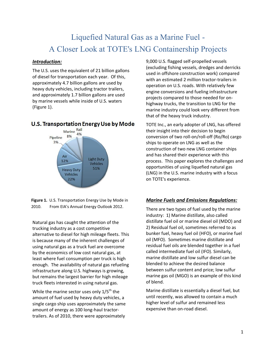### Liquefied Natural Gas as a Marine Fuel - A Closer Look at TOTE's LNG Containership Projects

#### *Introduction:*

The U.S. uses the equivalent of 21 billion gallons of diesel for transportation each year. Of this, approximately 4.7 billion gallons are used by heavy duty vehicles, including tractor trailers, and approximately 1.7 billion gallons are used by marine vessels while inside of U.S. waters (Figure 1).

#### U.S. Transportation Energy Use by Mode



**Figure 1.** U.S. Transportation Energy Use by Mode in 2010. From EIA's Annual Energy Outlook 2012.

Natural gas has caught the attention of the trucking industry as a cost competitive alternative to diesel for high mileage fleets. This is because many of the inherent challenges of using natural gas as a truck fuel are overcome by the economics of low cost natural gas, at least where fuel consumption per truck is high enough. The availability of natural gas refueling infrastructure along U.S. highways is growing, but remains the largest barrier for high mileage truck fleets interested in using natural gas.

While the marine sector uses only  $1/5^{th}$  the amount of fuel used by heavy duty vehicles, a single cargo ship uses approximately the same amount of energy as 100 long-haul tractortrailers. As of 2010, there were approximately

9,000 U.S. flagged self-propelled vessels (excluding fishing vessels, dredges and derricks used in offshore construction work) compared with an estimated 2 million tractor-trailers in operation on U.S. roads. With relatively few engine conversions and fueling infrastructure projects compared to those needed for onhighway trucks, the transition to LNG for the marine industry could look very different from that of the heavy truck industry.

TOTE Inc., an early adopter of LNG, has offered their insight into their decision to begin conversion of two roll-on/roll-off (Ro/Ro) cargo ships to operate on LNG as well as the construction of two new LNG container ships and has shared their experience with this process. This paper explores the challenges and opportunities of using liquefied natural gas (LNG) in the U.S. marine industry with a focus on TOTE's experience.

#### *Marine Fuels and Emissions Regulations:*

There are two types of fuel used by the marine industry: 1) Marine distillate, also called distillate fuel oil or marine diesel oil (MDO) and 2) Residual fuel oil, sometimes referred to as bunker fuel, heavy fuel oil (HFO), or marine fuel oil (MFO). Sometimes marine distillate and residual fuel oils are blended together in a fuel called intermediate fuel oil (IFO). Similarly, marine distillate and low sulfur diesel can be blended to achieve the desired balance between sulfur content and price; low sulfur marine gas oil (MGO) is an example of this kind of blend.

Marine distillate is essentially a diesel fuel, but until recently, was allowed to contain a much higher level of sulfur and remained less expensive than on-road diesel.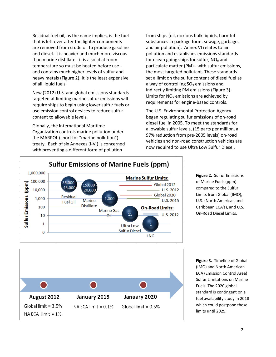Residual fuel oil, as the name implies, is the fuel that is left over after the lighter components are removed from crude oil to produce gasoline and diesel. It is heavier and much more viscous than marine distillate - it is a solid at room temperature so must be heated before use and contains much higher levels of sulfur and heavy metals (Figure 2). It is the least expensive of all liquid fuels.

New (2012) U.S. and global emissions standards targeted at limiting marine sulfur emissions will require ships to begin using lower sulfur fuels or use emission control devices to reduce sulfur content to allowable levels.

Globally, the International Maritime Organization controls marine pollution under the MARPOL (short for "marine pollution") treaty. Each of six Annexes (I-VI) is concerned with preventing a different form of pollution

from ships (oil, noxious bulk liquids, harmful substances in package form, sewage, garbage, and air pollution). Annex VI relates to air pollution and establishes emissions standards for ocean going ships for sulfur,  $NO<sub>x</sub>$  and particulate matter (PM) - with sulfur emissions, the most targeted pollutant. These standards set a limit on the sulfur content of diesel fuel as a way of controlling  $SO<sub>x</sub>$  emissions and indirectly limiting PM emissions (Figure 3). Limits for  $NO<sub>x</sub>$  emissions are achieved by requirements for engine-based controls.

The U.S. Environmental Protection Agency began regulating sulfur emissions of on-road diesel fuel in 2005. To meet the standards for allowable sulfur levels, (15 parts per million, a 97% reduction from pre-2005 levels) on-road vehicles and non-road construction vehicles are now required to use Ultra Low Sulfur Diesel.



**Figure 2.** Sulfur Emissions of Marine Fuels (ppm) compared to the Sulfur Limits from Global (IMO), U.S. (North American and Caribbean ECA's), and U.S. On-Road Diesel Limits.

**Figure 3.** Timeline of Global (IMO) and North American ECA (Emission Control Area) Sulfur Limitations on Marine Fuels. The 2020 global standard is contingent on a fuel availability study in 2018 which could postpone these limits until 2025.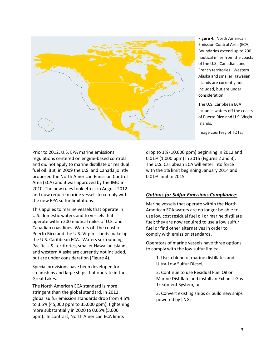

**Figure 4.** North American Emission Control Area (ECA) Boundaries extend up to 200 nautical miles from the coasts of the U.S., Canadian, and French territories. Western Alaska and smaller Hawaiian Islands are currently not included, but are under consideration.

The U.S. Caribbean ECA includes waters off the coasts of Puerto Rico and U.S. Virgin Islands.

Image courtesy of TOTE.

Prior to 2012, U.S. EPA marine emissions regulations centered on engine-based controls and did not apply to marine distillate or residual fuel oil. But, in 2009 the U.S. and Canada jointly proposed the North American Emission Control Area (ECA) and it was approved by the IMO in 2010. The new rules took effect in August 2012 and now require marine vessels to comply with the new EPA sulfur limitations.

This applies to marine vessels that operate in U.S. domestic waters and to vessels that operate within 200 nautical miles of U.S. and Canadian coastlines. Waters off the coast of Puerto Rico and the U.S. Virgin Islands make up the U.S. Caribbean ECA. Waters surrounding Pacific U.S. territories, smaller Hawaiian islands, and western Alaska are currently not included, but are under consideration (Figure 4).

Special provisions have been developed for steamships and large ships that operate in the Great Lakes.

The North American ECA standard is more stringent than the global standard. In 2012, global sulfur emission standards drop from 4.5% to 3.5% (45,000 ppm to 35,000 ppm), tightening more substantially in 2020 to 0.05% (5,000 ppm). In contrast, North American ECA limits

drop to 1% (10,000 ppm) beginning in 2012 and 0.01% (1,000 ppm) in 2015 (Figures 2 and 3). The U.S. Caribbean ECA will enter into force with the 1% limit beginning January 2014 and 0.01% limit in 2015.

#### *Options for Sulfur Emissions Compliance***:**

Marine vessels that operate within the North American ECA waters are no longer be able to use low cost residual fuel oil or marine distillate fuel; they are now required to use a low sulfur fuel or find other alternatives in order to comply with emission standards.

Operators of marine vessels have three options to comply with the low sulfur limits:

> 1. Use a blend of marine distillates and Ultra-Low Sulfur Diesel,

2. Continue to use Residual Fuel Oil or Marine Distillate and install an Exhaust Gas Treatment System, or

3. Convert existing ships or build new ships powered by LNG.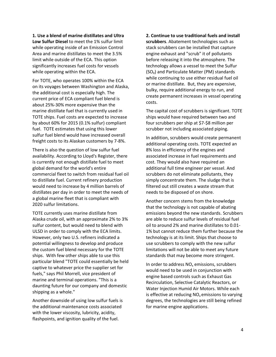**1. Use a blend of marine distillates and Ultra Low Sulfur Diesel** to meet the 1% sulfur limit while operating inside of an Emission Control Area and marine distillates to meet the 3.5% limit while outside of the ECA. This option significantly increases fuel costs for vessels while operating within the ECA.

For TOTE, who operates 100% within the ECA on its voyages between Washington and Alaska, the additional cost is especially high. The current price of ECA compliant fuel blend is about 25%-30% more expensive than the marine distillate fuel that is currently used in TOTE ships. Fuel costs are expected to increase by about 60% for 2015 (0.1% sulfur) compliant fuel. TOTE estimates that using this lower sulfur fuel blend would have increased overall freight costs to its Alaskan customers by 7-8%.

There is also the question of low sulfur fuel availability. According to Lloyd's Register, there is currently not enough distillate fuel to meet global demand for the world's entire commercial fleet to switch from residual fuel oil to distillate fuel. Current refinery production would need to increase by 4 million barrels of distillates per day in order to meet the needs of a global marine fleet that is compliant with 2020 sulfur limitations.

TOTE currently uses marine distillate from Alaska crude oil, with an approximate 2% to 3% sulfur content, but would need to blend with ULSD in order to comply with the ECA limits. However, only two U.S. refiners indicated a potential willingness to develop and produce the custom fuel blend necessary for the TOTE ships. With few other ships able to use this particular blend "TOTE could essentially be held captive to whatever price the supplier set for fuels," says Phil Morrell, vice president of marine and terminal operations. "This is a daunting future for our company and domestic shipping as a whole."

Another downside of using low sulfur fuels is the additional maintenance costs associated with the lower viscosity, lubricity, acidity, flashpoints, and ignition quality of the fuel.

**2. Continue to use traditional fuels and install scrubbers**. Abatement technologies such as stack scrubbers can be installed that capture engine exhaust and "scrub" it of pollutants before releasing it into the atmosphere. The technology allows a vessel to meet the Sulfur  $(SO<sub>x</sub>)$  and Particulate Matter (PM) standards while continuing to use either residual fuel oil or marine distillate. But, they are expensive, bulky, require additional energy to run, and create permanent increases in vessel operating costs.

The capital cost of scrubbers is significant. TOTE ships would have required between two and four scrubbers per ship at \$7-\$8 million per scrubber not including associated piping.

In addition, scrubbers would create permanent additional operating costs. TOTE expected an 8% loss in efficiency of the engines and associated increase in fuel requirements and cost. They would also have required an additional full time engineer per vessel. And scrubbers do not eliminate pollutants, they simply concentrate them. The sludge that is filtered out still creates a waste stream that needs to be disposed of on shore.

Another concern stems from the knowledge that the technology is not capable of abating emissions beyond the new standards. Scrubbers are able to reduce sulfur levels of residual fuel oil to around 2% and marine distillates to 0.01- 1% but cannot reduce them further because the technology is at its limit. Ships that choose to use scrubbers to comply with the new sulfur limitations will not be able to meet any future standards that may become more stringent.

In order to address  $NO<sub>x</sub>$  emissions, scrubbers would need to be used in conjunction with engine based controls such as Exhaust Gas Recirculation, Selective Catalytic Reactors, or Water Injection Humid Air Motors. While each is effective at reducing  $NO<sub>x</sub>$  emissions to varying degrees, the technologies are still being refined for marine engine applications.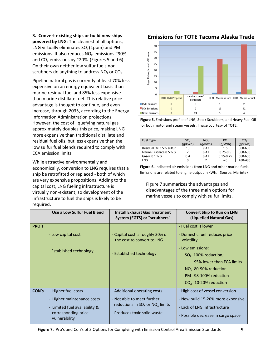**3. Convert existing ships or build new ships powered by LNG**: The cleanest of all options, LNG virtually eliminates  $SO<sub>x</sub>$  (1ppm) and PM emissions. It also reduces  $NO<sub>x</sub>$  emissions ~90% and CO<sub>2</sub> emissions by  $\sim$  20% (Figures 5 and 6). On their own neither low sulfur fuels nor scrubbers do anything to address  $NO<sub>X</sub>$  or  $CO<sub>2</sub>$ .

Pipeline natural gas is currently at least 70% less expensive on an energy equivalent basis than marine residual fuel and 85% less expensive than marine distillate fuel. This relative price advantage is thought to continue, and even increase, through 2035, according to the Energy Information Administration projections. However, the cost of liquefying natural gas approximately doubles this price, making LNG more expensive than traditional distillate and residual fuel oils, but less expensive than the low sulfur fuel blends required to comply with ECA emission limits.

While attractive environmentally and economically, conversion to LNG requires that a ship be retrofitted or replaced - both of which are very expensive propositions. Adding to the capital cost, LNG fueling infrastructure is virtually non-existent, so development of the infrastructure to fuel the ships is likely to be required.

#### **Emissions for TOTE Tacoma Alaska Trade**



**Figure 5.** Emissions profile of LNG, Stack Scrubbers, and Heavy Fuel Oil for both motor and steam vessels. Image courtesy of TOTE.

| Fuel Type                | $SO_{x}$<br>(g/kWh) | NO <sub>Y</sub><br>(g/kWh) | <b>PM</b><br>(g/kWh) | CO <sub>2</sub><br>(q/kWh) |
|--------------------------|---------------------|----------------------------|----------------------|----------------------------|
| Residual Oil 3.5% sulfur | 13                  | $9 - 12$                   | $1.5\,$              | 580-630                    |
| Marine Distillate 0.5% S |                     | $8 - 11$                   | $0.25 - 0.5$         | 580-630                    |
| Gasoil 0.1% S            | 0.4                 | $8 - 11$                   | $0.15 - 0.25$        | 580-630                    |
| LNG                      |                     |                            | $\sim$ 0             | 430-480                    |

**Figure 6.** Indicated air emissions from LNG and other marine fuels. Emissions are related to engine output in kWh. Source: Marintek

Figure 7 summarizes the advantages and disadvantages of the three main options for marine vessels to comply with sulfur limits.

|       | Use a Low Sulfur Fuel Blend                                                                                                | <b>Install Exhaust Gas Treatment</b><br>System (EGTS) or "scrubbers"                                                                | <b>Convert Ship to Run on LNG</b><br>(Liquefied Natural Gas)                                                                                                                                                                 |
|-------|----------------------------------------------------------------------------------------------------------------------------|-------------------------------------------------------------------------------------------------------------------------------------|------------------------------------------------------------------------------------------------------------------------------------------------------------------------------------------------------------------------------|
| PRO's | - Low capital cost<br>- Established technology                                                                             | - Capital cost is roughly 30% of<br>the cost to convert to LNG<br>- Established technology                                          | - Fuel cost is lower<br>- Domestic fuel reduces price<br>volatility<br>- Low emissions:<br>$SO_{x}$ 100% reduction;<br>95% lower than ECA limits<br>$NOx$ 80-90% reduction<br>PM 98-100% reduction<br>$CO2$ 10-20% reduction |
| CON's | - Higher fuel costs<br>- Higher maintenance costs<br>- Limited fuel availability &<br>corresponding price<br>vulnerability | - Additional operating costs<br>- Not able to meet further<br>reductions in $SO_x$ or $NO_x$ limits<br>- Produces toxic solid waste | - High cost of vessel conversion<br>- New build 15-20% more expensive<br>- Lack of LNG infrastructure<br>- Possible decrease in cargo space                                                                                  |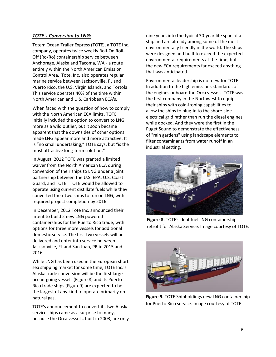#### *TOTE's Conversion to LNG:*

Totem Ocean Trailer Express (TOTE), a TOTE Inc. company, operates twice weekly Roll-On Roll-Off (Ro/Ro) containership service between Anchorage, Alaska and Tacoma, WA - a route entirely within the North American Emission Control Area. Tote, Inc. also operates regular marine service between Jacksonville, FL and Puerto Rico, the U.S. Virgin Islands, and Tortola. This service operates 40% of the time within North American and U.S. Caribbean ECA's.

When faced with the question of how to comply with the North American ECA limits, TOTE initially included the option to convert to LNG more as a wild outlier, but it soon became apparent that the downsides of other options made LNG appear more and more attractive. It is "no small undertaking," TOTE says, but "is the most attractive long-term solution."

In August, 2012 TOTE was granted a limited waiver from the North American ECA during conversion of their ships to LNG under a joint partnership between the U.S. EPA, U.S. Coast Guard, and TOTE. TOTE would be allowed to operate using current distillate fuels while they converted their two ships to run on LNG, with required project completion by 2016.

In December, 2012 Tote Inc. announced their intent to build 2 new LNG powered containerships for the Puerto Rico trade, with options for three more vessels for additional domestic service. The first two vessels will be delivered and enter into service between Jacksonville, FL and San Juan, PR in 2015 and 2016.

While LNG has been used in the European short sea shipping market for some time, TOTE Inc.'s Alaska trade conversion will be the first large ocean-going vessels (Figure 8) and its Puerto Rico trade ships (Figure9) are expected to be the largest of any kind to operate primarily on natural gas.

TOTE's announcement to convert its two Alaska service ships came as a surprise to many, because the Orca vessels, built in 2003, are only nine years into the typical 30-year life span of a ship and are already among some of the most environmentally friendly in the world. The ships were designed and built to exceed the expected environmental requirements at the time, but the new ECA requirements far exceed anything that was anticipated.

Environmental leadership is not new for TOTE. In addition to the high emissions standards of the engines onboard the Orca vessels, TOTE was the first company in the Northwest to equip their ships with cold-ironing capabilities to allow the ships to plug-in to the shore-side electrical grid rather than run the diesel engines while docked. And they were the first in the Puget Sound to demonstrate the effectiveness of "rain gardens" using landscape elements to filter contaminants from water runoff in an industrial setting.



**Figure 8.** TOTE's dual-fuel LNG containership retrofit for Alaska Service. Image courtesy of TOTE.



**Figure 9.** TOTE Shipholdings new LNG containership for Puerto Rico service. Image courtesy of TOTE.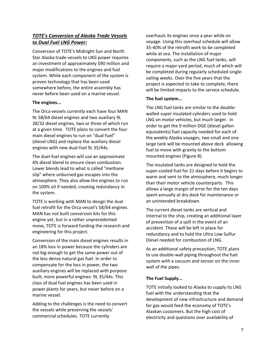#### *TOTE's Conversion of Alaska Trade Vessels to Dual Fuel LNG Power:*

Conversion of TOTE's Midnight Sun and North Star Alaska trade vessels to LNG power requires an investment of approximately \$90 million and major modifications to the engines and fuel system. While each component of the system is proven technology that has been used somewhere before, the entire assembly has never before been used on a marine vessel.

#### **The engines...**

The Orca vessels currently each have four MAN 9L 58/64 diesel engines and two auxiliary 9L 28/32 diesel engines, two or three of which run at a given time. TOTE plans to convert the four main diesel engines to run on "dual-fuel" (diesel-LNG) and replace the auxiliary diesel engines with new dual-fuel 9L 35/44s.

The duel-fuel engines will use an approximate 4% diesel blend to ensure clean combustion. Lower blends lead to what is called "methane slip" where unburned gas escapes into the atmosphere. They also allow the engines to run on 100% oil if needed, creating redundancy in the system.

TOTE is working with MAN to design the dual fuel retrofit for the Orca vessel's 58/64 engines. MAN has not built conversion kits for this engine yet, but in a rather unprecedented move, TOTE is forward funding the research and engineering for this project.

Conversion of the main diesel engines results in an 18% loss in power because the cylinders are not big enough to get the same power out of the less dense natural gas fuel. In order to compensate for the loss in power, the two auxiliary engines will be replaced with purpose built, more powerful engines: 9L 35/44s. This class of dual fuel engines has been used in power plants for years, but never before on a marine vessel.

Adding to the challenges is the need to convert the vessels while preserving the vessels' commercial schedules. TOTE currently

overhauls its engines once a year while on voyage. Using this overhaul schedule will allow 35-40% of the retrofit work to be completed while at sea. The installation of major components, such as the LNG fuel tanks, will require a major yard period, much of which will be completed during regularly scheduled singlesailing weeks. Over the five years that the project is expected to take to complete, there will be limited impacts to the service schedule.

#### **The fuel system...**

The LNG fuel tanks are similar to the doublewalled super insulated cylinders used to hold LNG on motor vehicles, but much larger. In order to get the 9 million DGE (diesel gallon equivalents) fuel capacity needed for each of the weekly Alaska voyages, two small and one large tank will be mounted above deck allowing fuel to move with gravity to the bottom mounted engines (Figure 8).

The insulated tanks are designed to hold the super-cooled fuel for 21 days before it begins to warm and vent to the atmosphere, much longer than their motor vehicle counterparts. This allows a large margin of error for the ten days spent annually at dry dock for maintenance or an unintended breakdown.

The current diesel tanks are vertical and internal to the ship, creating an additional layer of prevention of a spill in the event of an accident. These will be left in place for redundancy and to hold the Ultra Low Sulfur Diesel needed for combustion of LNG.

As an additional safety precaution, TOTE plans to use double-wall piping throughout the fuel system with a vacuum and sensor on the inner wall of the pipes.

#### **The Fuel Supply...**

TOTE initially looked to Alaska to supply its LNG fuel with the understanding that the development of new infrastructure and demand for gas would feed the economy of TOTE's Alaskan customers. But the high cost of electricity and questions over availability of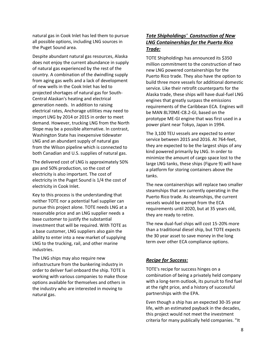natural gas in Cook Inlet has led them to pursue all possible options, including LNG sources in the Puget Sound area.

Despite abundant natural gas resources, Alaska does not enjoy the current abundance in supply of natural gas experienced by the rest of the country. A combination of the dwindling supply from aging gas wells and a lack of development of new wells in the Cook Inlet has led to projected shortages of natural gas for South-Central Alaskan's heating and electrical generation needs. In addition to raising electrical rates, Anchorage utilities may need to import LNG by 2014 or 2015 in order to meet demand. However, trucking LNG from the North Slope may be a possible alternative. In contrast, Washington State has inexpensive tidewater LNG and an abundant supply of natural gas from the Wilson pipeline which is connected to both Canadian and U.S. supplies of natural gas.

The delivered cost of LNG is approximately 50% gas and 50% production, so the cost of electricity is also important. The cost of electricity in the Puget Sound is 1/4 the cost of electricity in Cook Inlet.

Key to this process is the understanding that neither TOTE nor a potential fuel supplier can pursue this project alone. TOTE needs LNG at a reasonable price and an LNG supplier needs a base customer to justify the substantial investment that will be required. With TOTE as a base customer, LNG suppliers also gain the ability to enter into a new market of supplying LNG to the trucking, rail, and other marine industries.

The LNG ships may also require new infrastructure from the bunkering industry in order to deliver fuel onboard the ship. TOTE is working with various companies to make those options available for themselves and others in the industry who are interested in moving to natural gas.

#### *Tote Shipholdings' Construction of New LNG Containerships for the Puerto Rico Trade:*

TOTE Shipholdings has announced its \$350 million commitment to the construction of two new LNG powered containerships for the Puerto Rico trade. They also have the option to build three more vessels for additional domestic service. Like their retrofit counterparts for the Alaska trade, these ships will have dual-fuel LNG engines that greatly surpass the emissions requirements of the Caribbean ECA. Engines will be MAN 8L70ME-C8.2-GI, based on the prototype ME-GI engine that was first used in a power plant near Tokyo, Japan in 1994.

The 3,100 TEU vessels are expected to enter service between 2015 and 2016. At 764-feet, they are expected to be the largest ships of any kind powered primarily by LNG. In order to minimize the amount of cargo space lost to the large LNG tanks, these ships (Figure 9) will have a platform for storing containers above the tanks.

The new containerships will replace two smaller steamships that are currently operating in the Puerto Rico trade. As steamships, the current vessels would be exempt from the ECA requirements until 2020, but at 35 years old, they are ready to retire.

The new dual-fuel ships will cost 15-20% more than a traditional diesel ship, but TOTE expects the 30 year asset to save money in the long term over other ECA compliance options.

#### *Recipe for Success:*

TOTE's recipe for success hinges on a combination of being a privately held company with a long-term outlook, its pursuit to find fuel at the right price, and a history of successful partnerships with the EPA.

Even though a ship has an expected 30-35 year life, with an estimated payback in the decades, this project would not meet the investment criteria for many publically held companies. "It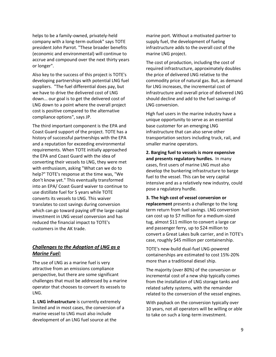helps to be a family-owned, privately-held company with a long-term outlook" says TOTE president John Parrot. "These broader benefits (economic and environmental) will continue to accrue and compound over the next thirty years or longer".

Also key to the success of this project is TOTE's developing partnerships with potential LNG fuel suppliers. "The fuel differential does pay, but we have to drive the delivered cost of LNG down... our goal is to get the delivered cost of LNG down to a point where the overall project cost is positive compared to the alternative compliance options", says JP.

The third important component is the EPA and Coast Guard support of the project. TOTE has a history of successful partnerships with the EPA and a reputation for exceeding environmental requirements. When TOTE initially approached the EPA and Coast Guard with the idea of converting their vessels to LNG, they were met with enthusiasm, asking "What can we do to help?" TOTE's response at the time was, "We don't know yet." This eventually transformed into an EPA/ Coast Guard waiver to continue to use distillate fuel for 5 years while TOTE converts its vessels to LNG. This waiver translates to cost savings during conversion which can go toward paying off the large capital investment in LNG vessel conversion and has reduced the financial impact to TOTE's customers in the AK trade.

#### *Challenges to the Adoption of LNG as a Marine Fuel:*

The use of LNG as a marine fuel is very attractive from an emissions compliance perspective, but there are some significant challenges that must be addressed by a marine operator that chooses to convert its vessels to LNG.

**1. LNG infrastructure** is currently extremely limited and in most cases, the conversion of a marine vessel to LNG must also include development of an LNG fuel source at the

marine port. Without a motivated partner to supply fuel, the development of fueling infrastructure adds to the overall cost of the marine LNG project.

The cost of production, including the cost of required infrastructure, approximately doubles the price of delivered LNG relative to the commodity price of natural gas. But, as demand for LNG increases, the incremental cost of infrastructure and overall price of delivered LNG should decline and add to the fuel savings of LNG conversion.

High fuel users in the marine industry have a unique opportunity to serve as an essential base customer for an emerging LNG infrastructure that can also serve other transportation sectors including truck, rail, and smaller marine operators.

**2. Barging fuel to vessels is more expensive and presents regulatory hurdles.** In many cases, first users of marine LNG must also develop the bunkering infrastructure to barge fuel to the vessel. This can be very capital intensive and as a relatively new industry, could pose a regulatory hurdle.

**3. The high cost of vessel conversion or replacement** presents a challenge to the long term return from fuel savings. LNG conversion can cost up to \$7 million for a medium-sized tug, almost \$11 million to convert a large car and passenger ferry, up to \$24 million to convert a Great Lakes bulk carrier, and in TOTE's case, roughly \$45 million per containership.

TOTE's new-build dual-fuel LNG-powered containerships are estimated to cost 15%-20% more than a traditional diesel ship.

The majority (over 80%) of the conversion or incremental cost of a new ship typically comes from the installation of LNG storage tanks and related safety systems, with the remainder related to the conversion of the vessel engines.

With payback on the conversion typically over 10 years, not all operators will be willing or able to take on such a long-term investment.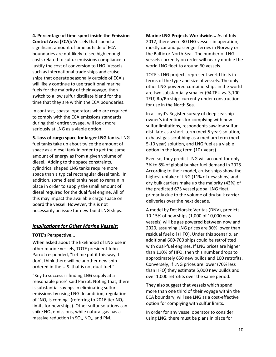**4. Percentage of time spent inside the Emission Control Area (ECA):** Vessels that spend a significant amount of time outside of ECA boundaries are not likely to see high enough costs related to sulfur emissions compliance to justify the cost of conversion to LNG. Vessels such as international trade ships and cruise ships that operate seasonally outside of ECA's will likely continue to use traditional marine fuels for the majority of their voyage, then switch to a low sulfur distillate blend for the time that they are within the ECA boundaries.

In contrast, coastal operators who are required to comply with the ECA emissions standards during their entire voyage, will look more seriously at LNG as a viable option.

**5. Loss of cargo space for larger LNG tanks.** LNG fuel tanks take up about twice the amount of space as a diesel tank in order to get the same amount of energy as from a given volume of diesel. Adding to the space constraints, cylindrical shaped LNG tanks require more space than a typical rectangular diesel tank. In addition, some diesel tanks need to remain in place in order to supply the small amount of diesel required for the dual fuel engine. All of this may impact the available cargo space on board the vessel. However, this is not necessarily an issue for new-build LNG ships.

#### *Implications for Other Marine Vessels:*

#### **TOTE's Perspective...**

When asked about the likelihood of LNG use in other marine vessels, TOTE president John Parrot responded, "Let me put it this way, I don't think there will be another new ship ordered in the U.S. that is not dual-fuel."

"Key to success is finding LNG supply at a reasonable price" said Parrot. Noting that, there is substantial savings in eliminating sulfur emissions by using LNG. In addition, regulation of "NO<sub>x</sub> is coming" (referring to 2016 tier NO<sub>x</sub> limits for new ships). Other sulfur solutions can spike  $NO<sub>x</sub>$  emissions, while natural gas has a massive reduction in  $SO_{x}$ , NO<sub>x</sub>, and PM.

**Marine LNG Projects Worldwide...** As of July 2012, there were 30 LNG vessels in operation, mostly car and passenger ferries in Norway or the Baltic or North Sea. The number of LNG vessels currently on order will nearly double the world LNG fleet to around 60 vessels.

TOTE's LNG projects represent world firsts in terms of the type and size of vessels. The only other LNG powered containerships in the world are two substantially smaller (94 TEU vs. 3,100 TEU) Ro/Ro ships currently under construction for use in the North Sea.

In a Lloyd's Register survey of deep sea shipowner's intentions for complying with new sulfur limitations, respondents saw low sulfur distillate as a short-term (next 5 year) solution, exhaust gas scrubbing as a medium term (next 5-10 year) solution, and LNG fuel as a viable option in the long term (10+ years).

Even so, they predict LNG will account for only 3% to 8% of global bunker fuel demand in 2025. According to their model, cruise ships show the highest uptake of LNG (11% of new ships) and dry bulk carriers make up the majority (43%) of the predicted 673 vessel global LNG fleet, primarily due to the volume of dry bulk carrier deliveries over the next decade.

A model by Det Norske Veritas (DNV), predicts 10-15% of new ships (1,000 of 10,000 new vessels) will be gas powered between now and 2020, assuming LNG prices are 30% lower than residual fuel oil (HFO). Under this scenario, an additional 600-700 ships could be retrofitted with dual-fuel engines. If LNG prices are higher than 110% of HFO, then this number drops to approximately 650 new builds and 100 retrofits. Conversely, if LNG prices are lower (70% less than HFO) they estimate 5,000 new builds and over 1,000 retrofits over the same period.

They also suggest that vessels which spend more than one third of their voyage within the ECA boundary, will see LNG as a cost-effective option for complying with sulfur limits.

In order for any vessel operator to consider using LNG, there must be plans in place for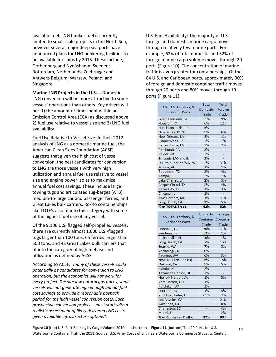available fuel. LNG bunker fuel is currently limited to small scale projects in the North Sea, however several major deep sea ports have announced plans for LNG bunkering facilities to be available for ships by 2015. These include, Gothenberg and Nynäshamn, Sweden; Rotterdam, Netherlands; Zeebrugge and Antwerp Belgium; Warsaw, Poland, and Singapore.

**Marine LNG Projects in the U.S....** Domestic LNG conversion will be more attractive to some vessels' operations than others. Key drivers will be: 1) the amount of time spent within an Emission Control Area (ECA) as discussed above 2) fuel use relative to vessel size and 3) LNG fuel availability.

Fuel Use Relative to Vessel Size: In their 2012 analysis of LNG as a domestic marine fuel, the American Clean Skies Foundation (ACSF) suggests that given the high cost of vessel conversion, the best candidates for conversion to LNG are those vessels with very high utilization and annual fuel use relative to vessel size and engine power, so as to maximize annual fuel cost savings. These include large towing tugs and articulated tug-barges (ATB), medium-to-large car and passenger ferries, and Great Lakes bulk carriers. Ro/Ro containerships like TOTE's also fit into this category with some of the highest fuel use of any vessel.

Of the 9,100 U.S. flagged self-propelled vessels, there are currently almost 1,000 U.S.-flagged tugs larger than 100 tons, 65 ferries larger than 500 tons, and 43 Great Lakes bulk carriers that fit into the category of high fuel use and utilization as defined by ACSF.

According to ACSF, *"many of these vessels could potentially be candidates for conversion to LNG operation, but the economics will not work for every project. Despite low natural gas prices, some vessels will not generate high enough annual fuel cost savings to provide a reasonable payback period for the high vessel conversion costs. Each prospective conversion project... must start with a realistic assessment of likely delivered LNG costs given available infrastructure options".*

U.S. Fuel Availability: The majority of U.S. foreign and domestic marine cargo moves through relatively few marine ports. For example, 62% of total domestic and 52% of foreign marine cargo volume moves through 20 ports (Figure 10). The concentration of marine traffic is even greater for containerships. Of the 84 U.S. and Caribbean ports, approximately 90% of foreign and domestic container traffic moves through 20 ports and 80% moves through 10 ports (Figure 11).

|                                                   | <b>Total</b>    | <b>Total</b>             |
|---------------------------------------------------|-----------------|--------------------------|
| U.S., U.S. Territory, &<br><b>Caribbean Ports</b> | <b>Domestic</b> | Foreign                  |
|                                                   | Trade           | Trade                    |
| South Lousiana, LA                                | 11%             | 9%                       |
| Houston, TX                                       | 6%              | 12%                      |
| Huntinton - Tristate                              | 5%              | $\overline{\phantom{a}}$ |
| New York (NY, NJ)                                 | 5%              | 6%                       |
| New Orleans, LA                                   | 3%              | 1%                       |
| Plaquemines, LA                                   | 3%              | 1%                       |
| <b>Baton Rouge, LA</b>                            | 3%              | 2%                       |
| Pittsburgh, PA                                    | 3%              | ÷,                       |
| Valdez, AK                                        | 3%              | ÷                        |
| St. Louis, MO and IL                              | 3%              | ÷,                       |
| Duluth-Superior (MN, WI)                          | 2%              | $< 1\%$                  |
| Mobile, AL                                        | 2%              | 1%                       |
| <b>Beaumont, TX</b>                               | 2%              | 4%                       |
| Tampa, FL                                         | 2%              | 1%                       |
| Lake Charles, LA                                  | 2%              | 3%                       |
| Corpus Christi, TX                                | 2%              | 4%                       |
| <b>Texas City, TX</b>                             | 1%              | 3%                       |
| Chicago, IL                                       | 1%              | $\sim$                   |
| Two Harbors, MN                                   | 1%              | $< 1\%$                  |
| Long Beach, CA                                    | 1%              | 5%                       |
|                                                   |                 |                          |
| % of TOTAL Trade                                  | 62%             | 52%                      |
|                                                   |                 |                          |
| U.S., U.S. Territory, &                           | <b>Domestic</b> | Foreign                  |
| <b>Caribbean Ports</b>                            | Container       | Container                |
|                                                   | Trade           | <b>Trade</b>             |
| Honolulu, HA                                      | 20%             | $< 1\%$                  |
| San Juan, PR                                      | 13%             | 1%                       |
| Jacksonville, FL                                  | 10%             | 1%                       |
| Long Beach, CA                                    | 7%              | 15%                      |
| Seattle, WA                                       | 7%              | 5%                       |
| Anchorage, AK                                     | 6%              | ÷                        |
| Tacoma, WA                                        | 6%              | 3%                       |
| New York (NY and NJ)                              | 5%              | 15%                      |
| Oakland, CA                                       | 5%              | 5%                       |
| Kahului, HI                                       | 2%              | ä,                       |
| Kawaihae Harbor, HI                               | 2%              | ä,                       |
| Norfolk Harbor, VA                                | 1%              | 5%                       |
| Apra Harbor, GU                                   | 1%              | ÷                        |
| Ketchikan, AK                                     | 1%              | ÷.                       |
| Houston, TX                                       | 1%              | 5%                       |
| Port Everglades, FL                               | $< 1\%$         | 2%                       |
| Los Angeles, CA                                   |                 | 21%                      |
| Savannah, GA                                      |                 | 8%                       |
| Charleston, SC                                    | ÷               | 4%                       |
| Miami, FL                                         |                 | 2%                       |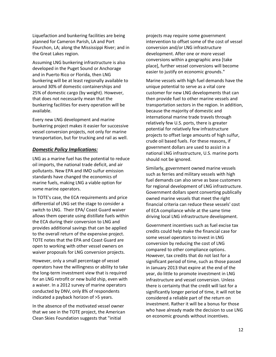Liquefaction and bunkering facilities are being planned for Cameron Parish, LA and Port Fourchon, LA; along the Mississippi River; and in the Great Lakes region.

Assuming LNG bunkering infrastructure is also developed in the Puget Sound or Anchorage and in Puerto Rico or Florida, then LNG bunkering will be at least regionally available to around 30% of domestic containerships and 25% of domestic cargo (by weight). However, that does not necessarily mean that the bunkering facilities for every operation will be available.

Every new LNG development and marine bunkering project makes it easier for successive vessel conversion projects, not only for marine transportation, but for trucking and rail as well.

#### *Domestic Policy Implications:*

LNG as a marine fuel has the potential to reduce oil imports, the national trade deficit, and air pollutants. New EPA and IMO sulfur emission standards have changed the economics of marine fuels, making LNG a viable option for some marine operators.

In TOTE's case, the ECA requirements and price differential of LNG set the stage to consider a switch to LNG. Their EPA/ Coast Guard waiver allows them operate using distillate fuels within the ECA during their conversion to LNG and provides additional savings that can be applied to the overall return of the expensive project. TOTE notes that the EPA and Coast Guard are open to working with other vessel owners on waiver proposals for LNG conversion projects.

However, only a small percentage of vessel operators have the willingness or ability to take the long-term investment view that is required for an LNG retrofit or new build ship, even with a waiver. In a 2012 survey of marine operators conducted by DNV, only 8% of respondents indicated a payback horizon of >5 years.

In the absence of the motivated vessel owner that we see in the TOTE project, the American Clean Skies Foundation suggests that "initial

projects may require some government intervention to offset some of the cost of vessel conversion and/or LNG infrastructure development. After one or more vessel conversions within a geographic area [take place], further vessel conversions will become easier to justify on economic grounds."

Marine vessels with high fuel demands have the unique potential to serve as a vital core customer for new LNG developments that can then provide fuel to other marine vessels and transportation sectors in the region. In addition, because the majority of domestic and international marine trade travels through relatively few U.S. ports, there is greater potential for relatively few infrastructure projects to offset large amounts of high sulfur, crude oil based fuels. For these reasons, if government dollars are used to assist in a national LNG infrastructure, U.S. marine ports should not be ignored.

Similarly, government owned marine vessels such as ferries and military vessels with high fuel demands can also serve as base customers for regional development of LNG infrastructure. Government dollars spent converting publically owned marine vessels that meet the right financial criteria can reduce these vessels' cost of ECA compliance while at the same time driving local LNG infrastructure development.

Government incentives such as fuel excise tax credits could help make the financial case for some vessel operators to invest in LNG conversion by reducing the cost of LNG compared to other compliance options. However, tax credits that do not last for a significant period of time, such as those passed in January 2013 that expire at the end of the year, do little to promote investment in LNG infrastructure and vessel conversion. Unless there is certainty that the credit will last for a significantly longer period of time, it will not be considered a reliable part of the return on investment. Rather it will be a bonus for those who have already made the decision to use LNG on economic grounds without incentives.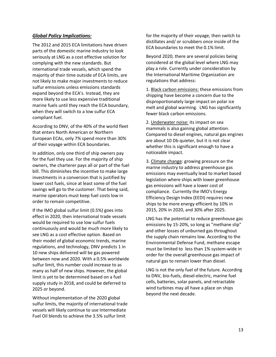#### *Global Policy Implications:*

The 2012 and 2015 ECA limitations have driven parts of the domestic marine industry to look seriously at LNG as a cost effective solution for complying with the new standards. But international trade vessels, which spend the majority of their time outside of ECA limits, are not likely to make major investments to reduce sulfur emissions unless emissions standards expand beyond the ECA's. Instead, they are more likely to use less expensive traditional marine fuels until they reach the ECA boundary, when they will switch to a low sulfur ECA compliant fuel.

According to DNV, of the 40% of the world fleet that enters North American or Northern European ECAs, only 7% spend more than 30% of their voyage within ECA boundaries.

In addition, only one third of ship owners pay for the fuel they use. For the majority of ship owners, the charterer pays all or part of the fuel bill. This diminishes the incentive to make large investments in a conversion that is justified by lower cost fuels, since at least some of the fuel savings will go to the customer. That being said, marine operators must keep fuel costs low in order to remain competitive.

If the IMO global sulfur limit (0.5%) goes into effect in 2020, then international trade vessels would be required to use low sulfur fuels continuously and would be much more likely to see LNG as a cost effective option. Based on their model of global economic trends, marine regulations, and technology, DNV predicts 1 in 10 new ships delivered will be gas powered between now and 2020. With a 0.5% worldwide sulfur limit, this number could increase to as many as half of new ships. However, the global limit is yet to be determined based on a fuel supply study in 2018, and could be deferred to 2025 or beyond.

Without implementation of the 2020 global sulfur limits, the majority of international trade vessels will likely continue to use Intermediate Fuel Oil blends to achieve the 3.5% sulfur limit

for the majority of their voyage, then switch to distillates and/ or scrubbers once inside of the ECA boundaries to meet the 0.1% limit.

Beyond 2020, there are several policies being considered at the global level where LNG may play a role. Currently under consideration by the International Maritime Organization are regulations that address:

1. Black carbon emissions: these emissions from shipping have become a concern due to the disproportionately large impact on polar ice melt and global warming. LNG has significantly fewer black carbon emissions.

2. Underwater noise: its impact on sea mammals is also gaining global attention. Compared to diesel engines, natural gas engines are about 10 Db quieter, but it is not clear whether this is significant enough to have a noticeable impact.

3. Climate change: growing pressure on the marine industry to address greenhouse gas emissions may eventually lead to market based legislation where ships with lower greenhouse gas emissions will have a lower cost of compliance. Currently the IMO's Energy Efficiency Design Index (EEDI) requires new ships to be more energy efficient by 10% in 2015, 20% in 2020, and 30% after 2025.

LNG has the potential to reduce greenhouse gas emissions by 15-20%, so long as "methane slip" and other losses of unburned gas throughout the supply chain remains low. According to the Environmental Defense Fund, methane escape must be limited to less than 1% system-wide in order for the overall greenhouse gas impact of natural gas to remain lower than diesel.

LNG is not the only fuel of the future. According to DNV, bio-fuels, diesel-electric, marine fuel cells, batteries, solar panels, and retractable wind turbines may all have a place on ships beyond the next decade.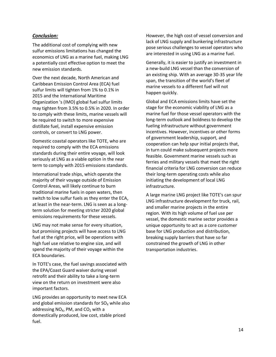#### *Conclusion:*

The additional cost of complying with new sulfur emissions limitations has changed the economics of LNG as a marine fuel, making LNG a potentially cost effective option to meet the new emission standards.

Over the next decade, North American and Caribbean Emission Control Area (ECA) fuel sulfur limits will tighten from 1% to 0.1% in 2015 and the International Maritime Organization 's (IMO) global fuel sulfur limits may tighten from 3.5% to 0.5% in 2020. In order to comply with these limits, marine vessels will be required to switch to more expensive distillate fuel, install expensive emission controls, or convert to LNG power.

Domestic coastal operators like TOTE, who are required to comply with the ECA emissions standards during their entire voyage, will look seriously at LNG as a viable option in the near term to comply with 2015 emissions standards.

International trade ships, which operate the majority of their voyage outside of Emission Control Areas, will likely continue to burn traditional marine fuels in open waters, then switch to low sulfur fuels as they enter the ECA, at least in the near-term. LNG is seen as a longterm solution for meeting stricter 2020 global emissions requirements for these vessels.

LNG may not make sense for every situation, but promising projects will have access to LNG fuel at the right price, will be operations with high fuel use relative to engine size, and will spend the majority of their voyage within the ECA boundaries.

In TOTE's case, the fuel savings associated with the EPA/Coast Guard waiver during vessel retrofit and their ability to take a long-term view on the return on investment were also important factors.

LNG provides an opportunity to meet new ECA and global emission standards for  $SO<sub>x</sub>$  while also addressing  $NO<sub>x</sub>$ , PM, and  $CO<sub>2</sub>$  with a domestically produced, low cost, stable priced fuel.

However, the high cost of vessel conversion and lack of LNG supply and bunkering infrastructure pose serious challenges to vessel operators who are interested in using LNG as a marine fuel.

Generally, it is easier to justify an investment in a new-build LNG vessel than the conversion of an existing ship. With an average 30-35 year life span, the transition of the world's fleet of marine vessels to a different fuel will not happen quickly.

Global and ECA emissions limits have set the stage for the economic viability of LNG as a marine fuel for those vessel operators with the long-term outlook and boldness to develop the fueling infrastructure without government incentives. However, incentives or other forms of government leadership, support, and cooperation can help spur initial projects that, in turn could make subsequent projects more feasible. Government marine vessels such as ferries and military vessels that meet the right financial criteria for LNG conversion can reduce their long-term operating costs while also initiating the development of local LNG infrastructure.

A large marine LNG project like TOTE's can spur LNG infrastructure development for truck, rail, and smaller marine projects in the entire region. With its high volume of fuel use per vessel, the domestic marine sector provides a unique opportunity to act as a core customer base for LNG production and distribution, breaking supply barriers that have so far constrained the growth of LNG in other transportation industries.